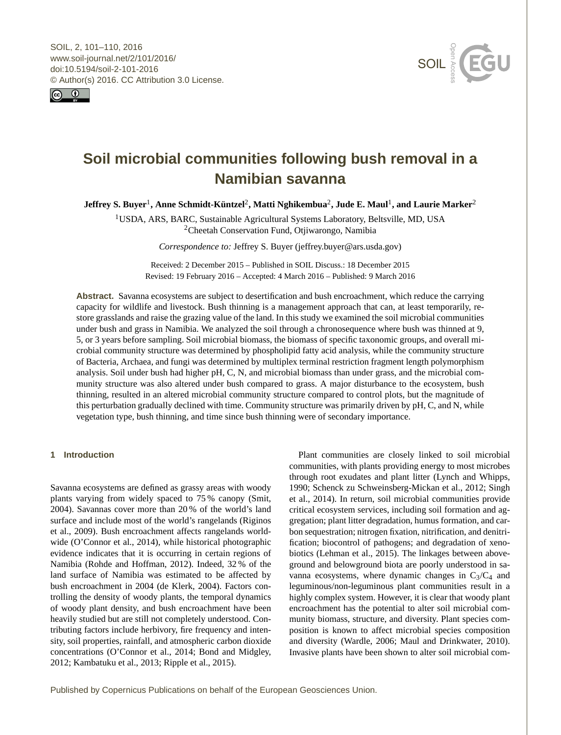<span id="page-0-1"></span>SOIL, 2, 101–110, 2016 www.soil-journal.net/2/101/2016/ doi:10.5194/soil-2-101-2016 © Author(s) 2016. CC Attribution 3.0 License.





# **Soil microbial communities following bush removal in a Namibian savanna**

**Jeffrey S. Buyer**[1](#page-0-0) **, Anne Schmidt-Küntzel**[2](#page-0-0) **, Matti Nghikembua**[2](#page-0-0) **, Jude E. Maul**[1](#page-0-0) **, and Laurie Marker**[2](#page-0-0)

<sup>1</sup>USDA, ARS, BARC, Sustainable Agricultural Systems Laboratory, Beltsville, MD, USA <sup>2</sup>Cheetah Conservation Fund, Otjiwarongo, Namibia

*Correspondence to:* Jeffrey S. Buyer (jeffrey.buyer@ars.usda.gov)

Received: 2 December 2015 – Published in SOIL Discuss.: 18 December 2015 Revised: 19 February 2016 – Accepted: 4 March 2016 – Published: 9 March 2016

**Abstract.** Savanna ecosystems are subject to desertification and bush encroachment, which reduce the carrying capacity for wildlife and livestock. Bush thinning is a management approach that can, at least temporarily, restore grasslands and raise the grazing value of the land. In this study we examined the soil microbial communities under bush and grass in Namibia. We analyzed the soil through a chronosequence where bush was thinned at 9, 5, or 3 years before sampling. Soil microbial biomass, the biomass of specific taxonomic groups, and overall microbial community structure was determined by phospholipid fatty acid analysis, while the community structure of Bacteria, Archaea, and fungi was determined by multiplex terminal restriction fragment length polymorphism analysis. Soil under bush had higher pH, C, N, and microbial biomass than under grass, and the microbial community structure was also altered under bush compared to grass. A major disturbance to the ecosystem, bush thinning, resulted in an altered microbial community structure compared to control plots, but the magnitude of this perturbation gradually declined with time. Community structure was primarily driven by pH, C, and N, while vegetation type, bush thinning, and time since bush thinning were of secondary importance.

# <span id="page-0-0"></span>**1 Introduction**

Savanna ecosystems are defined as grassy areas with woody plants varying from widely spaced to 75 % canopy (Smit, 2004). Savannas cover more than 20 % of the world's land surface and include most of the world's rangelands (Riginos et al., 2009). Bush encroachment affects rangelands worldwide (O'Connor et al., 2014), while historical photographic evidence indicates that it is occurring in certain regions of Namibia (Rohde and Hoffman, 2012). Indeed, 32 % of the land surface of Namibia was estimated to be affected by bush encroachment in 2004 (de Klerk, 2004). Factors controlling the density of woody plants, the temporal dynamics of woody plant density, and bush encroachment have been heavily studied but are still not completely understood. Contributing factors include herbivory, fire frequency and intensity, soil properties, rainfall, and atmospheric carbon dioxide concentrations (O'Connor et al., 2014; Bond and Midgley, 2012; Kambatuku et al., 2013; Ripple et al., 2015).

Plant communities are closely linked to soil microbial communities, with plants providing energy to most microbes through root exudates and plant litter (Lynch and Whipps, 1990; Schenck zu Schweinsberg-Mickan et al., 2012; Singh et al., 2014). In return, soil microbial communities provide critical ecosystem services, including soil formation and aggregation; plant litter degradation, humus formation, and carbon sequestration; nitrogen fixation, nitrification, and denitrification; biocontrol of pathogens; and degradation of xenobiotics (Lehman et al., 2015). The linkages between aboveground and belowground biota are poorly understood in savanna ecosystems, where dynamic changes in  $C_3/C_4$  and leguminous/non-leguminous plant communities result in a highly complex system. However, it is clear that woody plant encroachment has the potential to alter soil microbial community biomass, structure, and diversity. Plant species composition is known to affect microbial species composition and diversity (Wardle, 2006; Maul and Drinkwater, 2010). Invasive plants have been shown to alter soil microbial com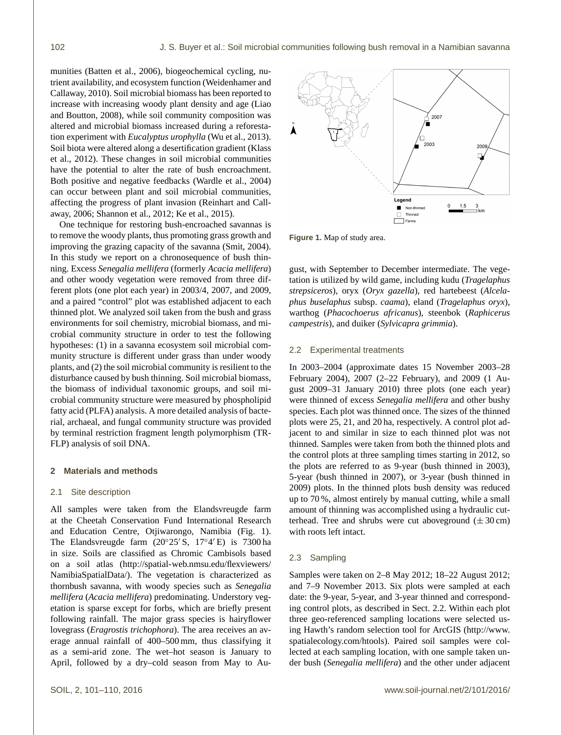munities (Batten et al., 2006), biogeochemical cycling, nutrient availability, and ecosystem function (Weidenhamer and Callaway, 2010). Soil microbial biomass has been reported to increase with increasing woody plant density and age (Liao and Boutton, 2008), while soil community composition was altered and microbial biomass increased during a reforestation experiment with *Eucalyptus urophylla* (Wu et al., 2013). Soil biota were altered along a desertification gradient (Klass et al., 2012). These changes in soil microbial communities have the potential to alter the rate of bush encroachment. Both positive and negative feedbacks (Wardle et al., 2004) can occur between plant and soil microbial communities, affecting the progress of plant invasion (Reinhart and Callaway, 2006; Shannon et al., 2012; Ke et al., 2015).

One technique for restoring bush-encroached savannas is to remove the woody plants, thus promoting grass growth and improving the grazing capacity of the savanna (Smit, 2004). In this study we report on a chronosequence of bush thinning. Excess *Senegalia mellifera* (formerly *Acacia mellifera*) and other woody vegetation were removed from three different plots (one plot each year) in 2003/4, 2007, and 2009, and a paired "control" plot was established adjacent to each thinned plot. We analyzed soil taken from the bush and grass environments for soil chemistry, microbial biomass, and microbial community structure in order to test the following hypotheses: (1) in a savanna ecosystem soil microbial community structure is different under grass than under woody plants, and (2) the soil microbial community is resilient to the disturbance caused by bush thinning. Soil microbial biomass, the biomass of individual taxonomic groups, and soil microbial community structure were measured by phospholipid fatty acid (PLFA) analysis. A more detailed analysis of bacterial, archaeal, and fungal community structure was provided by terminal restriction fragment length polymorphism (TR-FLP) analysis of soil DNA.

# **2 Materials and methods**

# 2.1 Site description

All samples were taken from the Elandsvreugde farm at the Cheetah Conservation Fund International Research and Education Centre, Otjiwarongo, Namibia (Fig. 1). The Elandsvreugde farm  $(20^{\circ}25' \text{ S}, 17^{\circ}4' \text{ E})$  is 7300 ha in size. Soils are classified as Chromic Cambisols based on a soil atlas [\(http://spatial-web.nmsu.edu/flexviewers/](http://spatial-web.nmsu.edu/flexviewers/NamibiaSpatialData/) [NamibiaSpatialData/\)](http://spatial-web.nmsu.edu/flexviewers/NamibiaSpatialData/). The vegetation is characterized as thornbush savanna, with woody species such as *Senegalia mellifera* (*Acacia mellifera*) predominating. Understory vegetation is sparse except for forbs, which are briefly present following rainfall. The major grass species is hairyflower lovegrass (*Eragrostis trichophora*). The area receives an average annual rainfall of 400–500 mm, thus classifying it as a semi-arid zone. The wet–hot season is January to April, followed by a dry–cold season from May to Au-



**Figure 1.** Map of study area.

gust, with September to December intermediate. The vegetation is utilized by wild game, including kudu (*Tragelaphus strepsiceros*), oryx (*Oryx gazella*), red hartebeest (*Alcelaphus buselaphus* subsp. *caama*), eland (*Tragelaphus oryx*), warthog (*Phacochoerus africanus*), steenbok (*Raphicerus campestris*), and duiker (*Sylvicapra grimmia*).

# 2.2 Experimental treatments

In 2003–2004 (approximate dates 15 November 2003–28 February 2004), 2007 (2–22 February), and 2009 (1 August 2009–31 January 2010) three plots (one each year) were thinned of excess *Senegalia mellifera* and other bushy species. Each plot was thinned once. The sizes of the thinned plots were 25, 21, and 20 ha, respectively. A control plot adjacent to and similar in size to each thinned plot was not thinned. Samples were taken from both the thinned plots and the control plots at three sampling times starting in 2012, so the plots are referred to as 9-year (bush thinned in 2003), 5-year (bush thinned in 2007), or 3-year (bush thinned in 2009) plots. In the thinned plots bush density was reduced up to 70 %, almost entirely by manual cutting, while a small amount of thinning was accomplished using a hydraulic cutterhead. Tree and shrubs were cut aboveground  $(\pm 30 \text{ cm})$ with roots left intact.

# 2.3 Sampling

Samples were taken on 2–8 May 2012; 18–22 August 2012; and 7–9 November 2013. Six plots were sampled at each date: the 9-year, 5-year, and 3-year thinned and corresponding control plots, as described in Sect. 2.2. Within each plot three geo-referenced sampling locations were selected using Hawth's random selection tool for ArcGIS [\(http://www.](http://www.spatialecology.com/htools) [spatialecology.com/htools\)](http://www.spatialecology.com/htools). Paired soil samples were collected at each sampling location, with one sample taken under bush (*Senegalia mellifera*) and the other under adjacent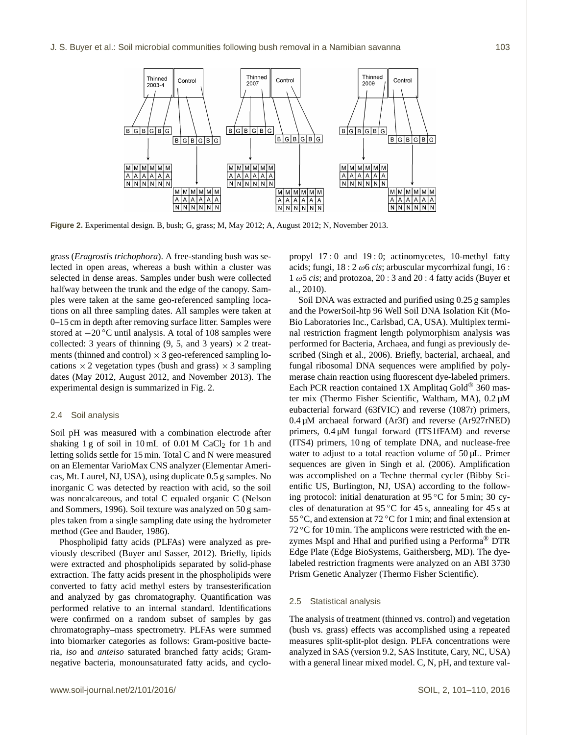

**Figure 2.** Experimental design. B, bush; G, grass; M, May 2012; A, August 2012; N, November 2013.

grass (*Eragrostis trichophora*). A free-standing bush was selected in open areas, whereas a bush within a cluster was selected in dense areas. Samples under bush were collected halfway between the trunk and the edge of the canopy. Samples were taken at the same geo-referenced sampling locations on all three sampling dates. All samples were taken at 0–15 cm in depth after removing surface litter. Samples were stored at −20 ◦C until analysis. A total of 108 samples were collected: 3 years of thinning  $(9, 5,$  and 3 years)  $\times$  2 treatments (thinned and control)  $\times$  3 geo-referenced sampling locations  $\times$  2 vegetation types (bush and grass)  $\times$  3 sampling dates (May 2012, August 2012, and November 2013). The experimental design is summarized in Fig. 2.

# 2.4 Soil analysis

Soil pH was measured with a combination electrode after shaking 1 g of soil in 10 mL of  $0.01$  M CaCl<sub>2</sub> for 1 h and letting solids settle for 15 min. Total C and N were measured on an Elementar VarioMax CNS analyzer (Elementar Americas, Mt. Laurel, NJ, USA), using duplicate 0.5 g samples. No inorganic C was detected by reaction with acid, so the soil was noncalcareous, and total C equaled organic C (Nelson and Sommers, 1996). Soil texture was analyzed on 50 g samples taken from a single sampling date using the hydrometer method (Gee and Bauder, 1986).

Phospholipid fatty acids (PLFAs) were analyzed as previously described (Buyer and Sasser, 2012). Briefly, lipids were extracted and phospholipids separated by solid-phase extraction. The fatty acids present in the phospholipids were converted to fatty acid methyl esters by transesterification and analyzed by gas chromatography. Quantification was performed relative to an internal standard. Identifications were confirmed on a random subset of samples by gas chromatography–mass spectrometry. PLFAs were summed into biomarker categories as follows: Gram-positive bacteria, *iso* and *anteiso* saturated branched fatty acids; Gramnegative bacteria, monounsaturated fatty acids, and cyclopropyl 17 : 0 and 19 : 0; actinomycetes, 10-methyl fatty acids; fungi, 18 : 2 ω6 *cis*; arbuscular mycorrhizal fungi, 16 :  $1 \omega 5 \text{ cis}$ ; and protozoa,  $20 : 3$  and  $20 : 4$  fatty acids (Buyer et al., 2010).

Soil DNA was extracted and purified using 0.25 g samples and the PowerSoil-htp 96 Well Soil DNA Isolation Kit (Mo-Bio Laboratories Inc., Carlsbad, CA, USA). Multiplex terminal restriction fragment length polymorphism analysis was performed for Bacteria, Archaea, and fungi as previously described (Singh et al., 2006). Briefly, bacterial, archaeal, and fungal ribosomal DNA sequences were amplified by polymerase chain reaction using fluorescent dye-labeled primers. Each PCR reaction contained  $1X$  Amplitaq Gold<sup>®</sup> 360 master mix (Thermo Fisher Scientific, Waltham, MA), 0.2 µM eubacterial forward (63fVIC) and reverse (1087r) primers, 0.4 µM archaeal forward (Ar3f) and reverse (Ar927rNED) primers, 0.4 µM fungal forward (ITS1fFAM) and reverse (ITS4) primers, 10 ng of template DNA, and nuclease-free water to adjust to a total reaction volume of  $50 \mu L$ . Primer sequences are given in Singh et al. (2006). Amplification was accomplished on a Techne thermal cycler (Bibby Scientific US, Burlington, NJ, USA) according to the following protocol: initial denaturation at  $95^{\circ}$ C for 5 min; 30 cycles of denaturation at  $95^{\circ}$ C for 45 s, annealing for 45 s at 55 °C, and extension at 72 °C for 1 min; and final extension at  $72 \degree$ C for 10 min. The amplicons were restricted with the enzymes MspI and HhaI and purified using a Performa® DTR Edge Plate (Edge BioSystems, Gaithersberg, MD). The dyelabeled restriction fragments were analyzed on an ABI 3730 Prism Genetic Analyzer (Thermo Fisher Scientific).

# 2.5 Statistical analysis

The analysis of treatment (thinned vs. control) and vegetation (bush vs. grass) effects was accomplished using a repeated measures split-split-plot design. PLFA concentrations were analyzed in SAS (version 9.2, SAS Institute, Cary, NC, USA) with a general linear mixed model. C, N, pH, and texture val-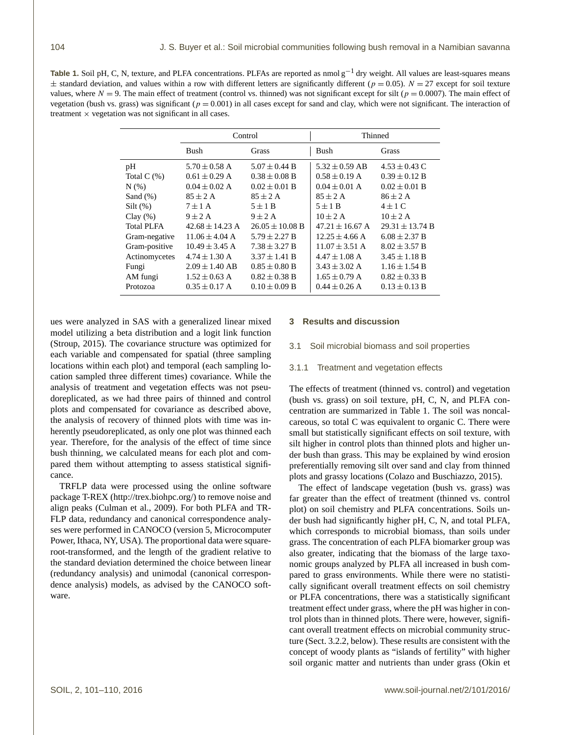Table 1. Soil pH, C, N, texture, and PLFA concentrations. PLFAs are reported as nmol g<sup>-1</sup> dry weight. All values are least-squares means  $\pm$  standard deviation, and values within a row with different letters are significantly different ( $p = 0.05$ ).  $N = 27$  except for soil texture values, where  $N = 9$ . The main effect of treatment (control vs. thinned) was not significant except for silt ( $p = 0.0007$ ). The main effect of vegetation (bush vs. grass) was significant ( $p = 0.001$ ) in all cases except for sand and clay, which were not significant. The interaction of treatment  $\times$  vegetation was not significant in all cases.

|                   |                     | Control             | Thinned             |                     |  |
|-------------------|---------------------|---------------------|---------------------|---------------------|--|
|                   | <b>Bush</b>         | <b>Grass</b>        | Bush                | <b>Grass</b>        |  |
| pH                | $5.70 \pm 0.58$ A   | $5.07 \pm 0.44$ B   | $5.32 \pm 0.59$ AB  | $4.53 \pm 0.43$ C   |  |
| Total $C(\%)$     | $0.61 \pm 0.29$ A   | $0.38 \pm 0.08$ B   | $0.58 \pm 0.19$ A   | $0.39 \pm 0.12$ B   |  |
| N(% )             | $0.04 \pm 0.02$ A   | $0.02 \pm 0.01$ B   | $0.04 \pm 0.01$ A   | $0.02 \pm 0.01$ B   |  |
| Sand $(\%)$       | $85 \pm 2$ A        | $85 \pm 2$ A        | $85 \pm 2$ A        | $86 \pm 2$ A        |  |
| $Silt(\%)$        | $7 \pm 1$ A         | $5 \pm 1$ B         | $5 \pm 1$ B         | $4 \pm 1$ C         |  |
| Clay(%)           | $9 \pm 2$ A         | $9 \pm 2$ A         | $10 \pm 2$ A        | $10 \pm 2$ A        |  |
| <b>Total PLFA</b> | $42.68 \pm 14.23$ A | $26.05 \pm 10.08$ B | $47.21 \pm 16.67$ A | $29.31 \pm 13.74$ B |  |
| Gram-negative     | $11.06 \pm 4.04$ A  | $5.79 \pm 2.27 B$   | $12.25 \pm 4.66$ A  | $6.08 \pm 2.37 B$   |  |
| Gram-positive     | $10.49 \pm 3.45$ A  | $7.38 \pm 3.27 B$   | $11.07 \pm 3.51$ A  | $8.02 \pm 3.57 B$   |  |
| Actinomycetes     | $4.74 \pm 1.30$ A   | $3.37 \pm 1.41$ B   | $4.47 \pm 1.08$ A   | $3.45 \pm 1.18$ B   |  |
| Fungi             | $2.09 \pm 1.40$ AB  | $0.85 \pm 0.80 B$   | $3.43 \pm 3.02$ A   | $1.16 \pm 1.54 B$   |  |
| AM fungi          | $1.52 \pm 0.63$ A   | $0.82 \pm 0.38$ B   | $1.65 \pm 0.79$ A   | $0.82 \pm 0.33 B$   |  |
| Protozoa          | $0.35 \pm 0.17$ A   | $0.10 \pm 0.09$ B   | $0.44 \pm 0.26$ A   | $0.13 \pm 0.13 B$   |  |

ues were analyzed in SAS with a generalized linear mixed model utilizing a beta distribution and a logit link function (Stroup, 2015). The covariance structure was optimized for each variable and compensated for spatial (three sampling locations within each plot) and temporal (each sampling location sampled three different times) covariance. While the analysis of treatment and vegetation effects was not pseudoreplicated, as we had three pairs of thinned and control plots and compensated for covariance as described above, the analysis of recovery of thinned plots with time was inherently pseudoreplicated, as only one plot was thinned each year. Therefore, for the analysis of the effect of time since bush thinning, we calculated means for each plot and compared them without attempting to assess statistical significance.

TRFLP data were processed using the online software package T-REX [\(http://trex.biohpc.org/\)](http://trex.biohpc.org/) to remove noise and align peaks (Culman et al., 2009). For both PLFA and TR-FLP data, redundancy and canonical correspondence analyses were performed in CANOCO (version 5, Microcomputer Power, Ithaca, NY, USA). The proportional data were squareroot-transformed, and the length of the gradient relative to the standard deviation determined the choice between linear (redundancy analysis) and unimodal (canonical correspondence analysis) models, as advised by the CANOCO software.

#### **3 Results and discussion**

3.1 Soil microbial biomass and soil properties

#### 3.1.1 Treatment and vegetation effects

The effects of treatment (thinned vs. control) and vegetation (bush vs. grass) on soil texture, pH, C, N, and PLFA concentration are summarized in Table 1. The soil was noncalcareous, so total C was equivalent to organic C. There were small but statistically significant effects on soil texture, with silt higher in control plots than thinned plots and higher under bush than grass. This may be explained by wind erosion preferentially removing silt over sand and clay from thinned plots and grassy locations (Colazo and Buschiazzo, 2015).

The effect of landscape vegetation (bush vs. grass) was far greater than the effect of treatment (thinned vs. control plot) on soil chemistry and PLFA concentrations. Soils under bush had significantly higher pH, C, N, and total PLFA, which corresponds to microbial biomass, than soils under grass. The concentration of each PLFA biomarker group was also greater, indicating that the biomass of the large taxonomic groups analyzed by PLFA all increased in bush compared to grass environments. While there were no statistically significant overall treatment effects on soil chemistry or PLFA concentrations, there was a statistically significant treatment effect under grass, where the pH was higher in control plots than in thinned plots. There were, however, significant overall treatment effects on microbial community structure (Sect. 3.2.2, below). These results are consistent with the concept of woody plants as "islands of fertility" with higher soil organic matter and nutrients than under grass (Okin et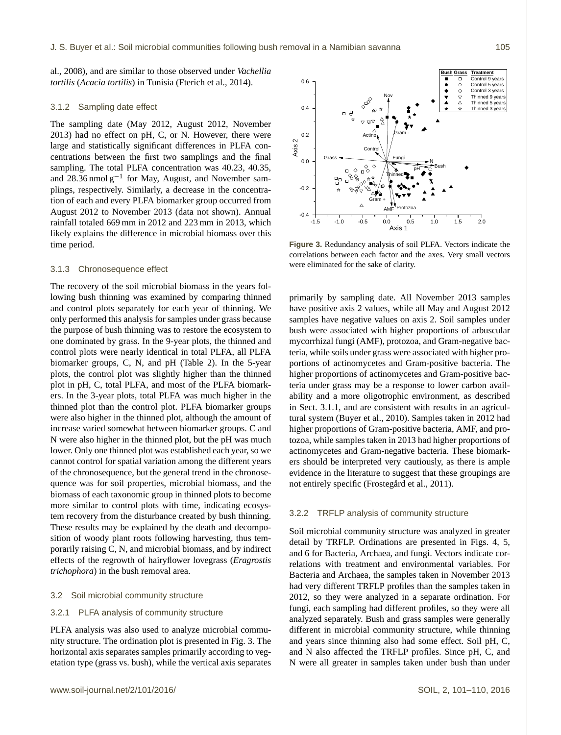al., 2008), and are similar to those observed under *Vachellia tortilis* (*Acacia tortilis*) in Tunisia (Fterich et al., 2014).

## 3.1.2 Sampling date effect

The sampling date (May 2012, August 2012, November 2013) had no effect on pH, C, or N. However, there were large and statistically significant differences in PLFA concentrations between the first two samplings and the final sampling. The total PLFA concentration was 40.23, 40.35, and  $28.36$  nmol  $g^{-1}$  for May, August, and November samplings, respectively. Similarly, a decrease in the concentration of each and every PLFA biomarker group occurred from August 2012 to November 2013 (data not shown). Annual rainfall totaled 669 mm in 2012 and 223 mm in 2013, which likely explains the difference in microbial biomass over this time period.

# 3.1.3 Chronosequence effect

The recovery of the soil microbial biomass in the years following bush thinning was examined by comparing thinned and control plots separately for each year of thinning. We only performed this analysis for samples under grass because the purpose of bush thinning was to restore the ecosystem to one dominated by grass. In the 9-year plots, the thinned and control plots were nearly identical in total PLFA, all PLFA biomarker groups, C, N, and pH (Table 2). In the 5-year plots, the control plot was slightly higher than the thinned plot in pH, C, total PLFA, and most of the PLFA biomarkers. In the 3-year plots, total PLFA was much higher in the thinned plot than the control plot. PLFA biomarker groups were also higher in the thinned plot, although the amount of increase varied somewhat between biomarker groups. C and N were also higher in the thinned plot, but the pH was much lower. Only one thinned plot was established each year, so we cannot control for spatial variation among the different years of the chronosequence, but the general trend in the chronosequence was for soil properties, microbial biomass, and the biomass of each taxonomic group in thinned plots to become more similar to control plots with time, indicating ecosystem recovery from the disturbance created by bush thinning. These results may be explained by the death and decomposition of woody plant roots following harvesting, thus temporarily raising C, N, and microbial biomass, and by indirect effects of the regrowth of hairyflower lovegrass (*Eragrostis trichophora*) in the bush removal area.

# 3.2 Soil microbial community structure

# 3.2.1 PLFA analysis of community structure

PLFA analysis was also used to analyze microbial community structure. The ordination plot is presented in Fig. 3. The horizontal axis separates samples primarily according to vegetation type (grass vs. bush), while the vertical axis separates



**Figure 3.** Redundancy analysis of soil PLFA. Vectors indicate the correlations between each factor and the axes. Very small vectors were eliminated for the sake of clarity.

primarily by sampling date. All November 2013 samples have positive axis 2 values, while all May and August 2012 samples have negative values on axis 2. Soil samples under bush were associated with higher proportions of arbuscular mycorrhizal fungi (AMF), protozoa, and Gram-negative bacteria, while soils under grass were associated with higher proportions of actinomycetes and Gram-positive bacteria. The higher proportions of actinomycetes and Gram-positive bacteria under grass may be a response to lower carbon availability and a more oligotrophic environment, as described in Sect. 3.1.1, and are consistent with results in an agricultural system (Buyer et al., 2010). Samples taken in 2012 had higher proportions of Gram-positive bacteria, AMF, and protozoa, while samples taken in 2013 had higher proportions of actinomycetes and Gram-negative bacteria. These biomarkers should be interpreted very cautiously, as there is ample evidence in the literature to suggest that these groupings are not entirely specific (Frostegård et al., 2011).

#### 3.2.2 TRFLP analysis of community structure

Soil microbial community structure was analyzed in greater detail by TRFLP. Ordinations are presented in Figs. 4, 5, and 6 for Bacteria, Archaea, and fungi. Vectors indicate correlations with treatment and environmental variables. For Bacteria and Archaea, the samples taken in November 2013 had very different TRFLP profiles than the samples taken in 2012, so they were analyzed in a separate ordination. For fungi, each sampling had different profiles, so they were all analyzed separately. Bush and grass samples were generally different in microbial community structure, while thinning and years since thinning also had some effect. Soil pH, C, and N also affected the TRFLP profiles. Since pH, C, and N were all greater in samples taken under bush than under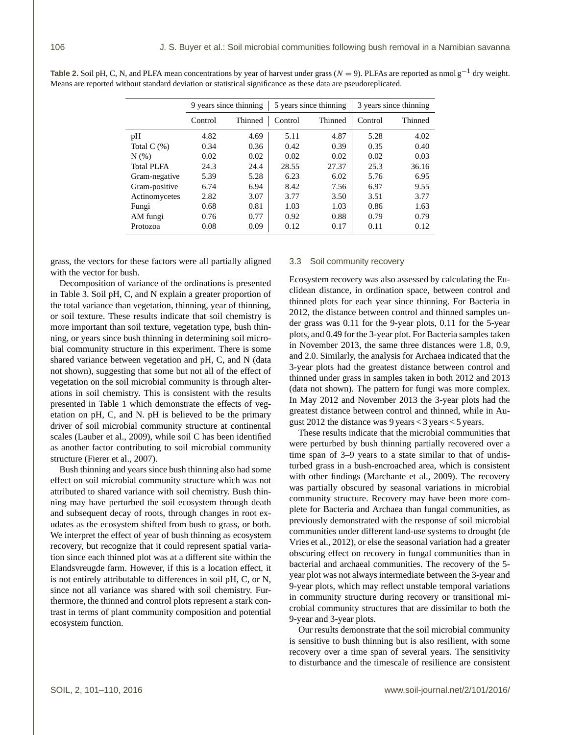|                   | 9 years since thinning |         | 5 years since thinning |         | 3 years since thinning |         |
|-------------------|------------------------|---------|------------------------|---------|------------------------|---------|
|                   | Control                | Thinned | Control                | Thinned | Control                | Thinned |
| pH                | 4.82                   | 4.69    | 5.11                   | 4.87    | 5.28                   | 4.02    |
| Total $C(\%)$     | 0.34                   | 0.36    | 0.42                   | 0.39    | 0.35                   | 0.40    |
| $N(\%)$           | 0.02                   | 0.02    | 0.02                   | 0.02    | 0.02                   | 0.03    |
| <b>Total PLFA</b> | 24.3                   | 24.4    | 28.55                  | 27.37   | 25.3                   | 36.16   |
| Gram-negative     | 5.39                   | 5.28    | 6.23                   | 6.02    | 5.76                   | 6.95    |
| Gram-positive     | 6.74                   | 6.94    | 8.42                   | 7.56    | 6.97                   | 9.55    |
| Actinomycetes     | 2.82                   | 3.07    | 3.77                   | 3.50    | 3.51                   | 3.77    |
| Fungi             | 0.68                   | 0.81    | 1.03                   | 1.03    | 0.86                   | 1.63    |
| AM fungi          | 0.76                   | 0.77    | 0.92                   | 0.88    | 0.79                   | 0.79    |
| Protozoa          | 0.08                   | 0.09    | 0.12                   | 0.17    | 0.11                   | 0.12    |

**Table 2.** Soil pH, C, N, and PLFA mean concentrations by year of harvest under grass ( $N = 9$ ). PLFAs are reported as nmol g<sup>-1</sup> dry weight. Means are reported without standard deviation or statistical significance as these data are pseudoreplicated.

grass, the vectors for these factors were all partially aligned with the vector for bush.

Decomposition of variance of the ordinations is presented in Table 3. Soil pH, C, and N explain a greater proportion of the total variance than vegetation, thinning, year of thinning, or soil texture. These results indicate that soil chemistry is more important than soil texture, vegetation type, bush thinning, or years since bush thinning in determining soil microbial community structure in this experiment. There is some shared variance between vegetation and pH, C, and N (data not shown), suggesting that some but not all of the effect of vegetation on the soil microbial community is through alterations in soil chemistry. This is consistent with the results presented in Table 1 which demonstrate the effects of vegetation on pH, C, and N. pH is believed to be the primary driver of soil microbial community structure at continental scales (Lauber et al., 2009), while soil C has been identified as another factor contributing to soil microbial community structure (Fierer et al., 2007).

Bush thinning and years since bush thinning also had some effect on soil microbial community structure which was not attributed to shared variance with soil chemistry. Bush thinning may have perturbed the soil ecosystem through death and subsequent decay of roots, through changes in root exudates as the ecosystem shifted from bush to grass, or both. We interpret the effect of year of bush thinning as ecosystem recovery, but recognize that it could represent spatial variation since each thinned plot was at a different site within the Elandsvreugde farm. However, if this is a location effect, it is not entirely attributable to differences in soil pH, C, or N, since not all variance was shared with soil chemistry. Furthermore, the thinned and control plots represent a stark contrast in terms of plant community composition and potential ecosystem function.

# 3.3 Soil community recovery

Ecosystem recovery was also assessed by calculating the Euclidean distance, in ordination space, between control and thinned plots for each year since thinning. For Bacteria in 2012, the distance between control and thinned samples under grass was 0.11 for the 9-year plots, 0.11 for the 5-year plots, and 0.49 for the 3-year plot. For Bacteria samples taken in November 2013, the same three distances were 1.8, 0.9, and 2.0. Similarly, the analysis for Archaea indicated that the 3-year plots had the greatest distance between control and thinned under grass in samples taken in both 2012 and 2013 (data not shown). The pattern for fungi was more complex. In May 2012 and November 2013 the 3-year plots had the greatest distance between control and thinned, while in August 2012 the distance was 9 years < 3 years < 5 years.

These results indicate that the microbial communities that were perturbed by bush thinning partially recovered over a time span of 3–9 years to a state similar to that of undisturbed grass in a bush-encroached area, which is consistent with other findings (Marchante et al., 2009). The recovery was partially obscured by seasonal variations in microbial community structure. Recovery may have been more complete for Bacteria and Archaea than fungal communities, as previously demonstrated with the response of soil microbial communities under different land-use systems to drought (de Vries et al., 2012), or else the seasonal variation had a greater obscuring effect on recovery in fungal communities than in bacterial and archaeal communities. The recovery of the 5 year plot was not always intermediate between the 3-year and 9-year plots, which may reflect unstable temporal variations in community structure during recovery or transitional microbial community structures that are dissimilar to both the 9-year and 3-year plots.

Our results demonstrate that the soil microbial community is sensitive to bush thinning but is also resilient, with some recovery over a time span of several years. The sensitivity to disturbance and the timescale of resilience are consistent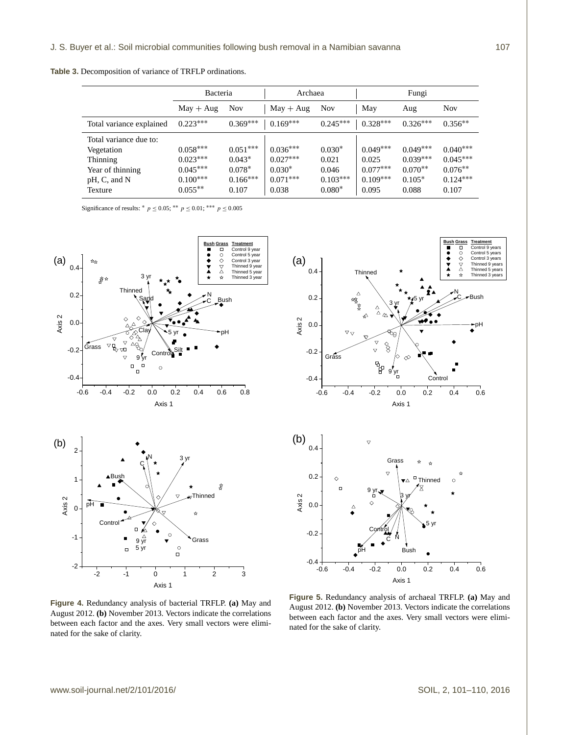**Table 3.** Decomposition of variance of TRFLP ordinations.

|                                                                      | <b>Bacteria</b>                        |                                    | Archaea                              |                            | Fungi                             |                                       |                                       |
|----------------------------------------------------------------------|----------------------------------------|------------------------------------|--------------------------------------|----------------------------|-----------------------------------|---------------------------------------|---------------------------------------|
|                                                                      | $May + Aug$                            | <b>Nov</b>                         | $May + Aug$                          | <b>Nov</b>                 | May                               | Aug                                   | <b>Nov</b>                            |
| Total variance explained                                             | $0.223***$                             | $0.369***$                         | $0.169***$                           | $0.245***$                 | $0.328***$                        | $0.326***$                            | $0.356**$                             |
| Total variance due to:<br>Vegetation<br>Thinning<br>Year of thinning | $0.058***$<br>$0.023***$<br>$0.045***$ | $0.051***$<br>$0.043*$<br>$0.078*$ | $0.036***$<br>$0.027***$<br>$0.030*$ | $0.030*$<br>0.021<br>0.046 | $0.049***$<br>0.025<br>$0.077***$ | $0.049***$<br>$0.039***$<br>$0.070**$ | $0.040***$<br>$0.045***$<br>$0.076**$ |
| pH, C, and N<br>Texture                                              | $0.100***$<br>$0.055**$                | $0.166***$<br>0.107                | $0.071***$<br>0.038                  | $0.103***$<br>$0.080*$     | $0.109***$<br>0.095               | $0.105*$<br>0.088                     | $0.124***$<br>0.107                   |

Significance of results: \*  $p \le 0.05$ ; \*\*  $p \le 0.01$ ; \*\*\*  $p \le 0.005$ 





**Figure 4.** Redundancy analysis of bacterial TRFLP. **(a)** May and August 2012. **(b)** November 2013. Vectors indicate the correlations between each factor and the axes. Very small vectors were eliminated for the sake of clarity.

**Figure 5.** Redundancy analysis of archaeal TRFLP. **(a)** May and August 2012. **(b)** November 2013. Vectors indicate the correlations between each factor and the axes. Very small vectors were eliminated for the sake of clarity.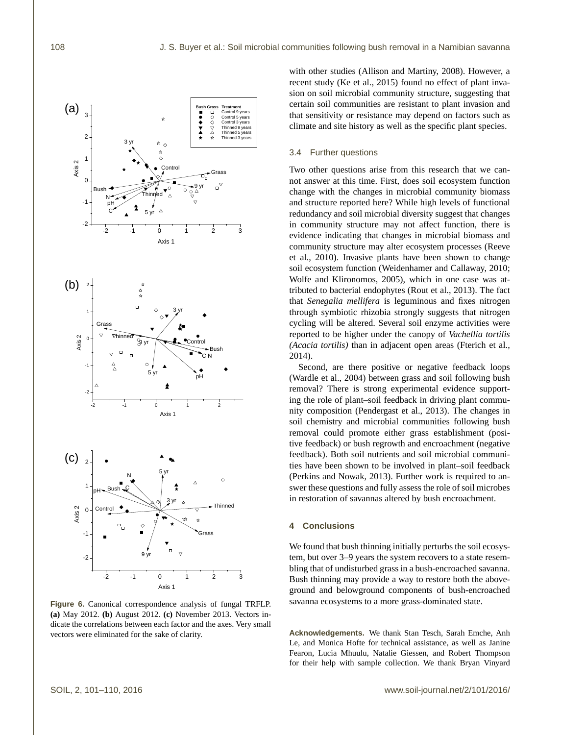

**Figure 6.** Canonical correspondence analysis of fungal TRFLP. **(a)** May 2012. **(b)** August 2012. **(c)** November 2013. Vectors indicate the correlations between each factor and the axes. Very small vectors were eliminated for the sake of clarity.

with other studies (Allison and Martiny, 2008). However, a recent study (Ke et al., 2015) found no effect of plant invasion on soil microbial community structure, suggesting that certain soil communities are resistant to plant invasion and that sensitivity or resistance may depend on factors such as climate and site history as well as the specific plant species.

# 3.4 Further questions

Two other questions arise from this research that we cannot answer at this time. First, does soil ecosystem function change with the changes in microbial community biomass and structure reported here? While high levels of functional redundancy and soil microbial diversity suggest that changes in community structure may not affect function, there is evidence indicating that changes in microbial biomass and community structure may alter ecosystem processes (Reeve et al., 2010). Invasive plants have been shown to change soil ecosystem function (Weidenhamer and Callaway, 2010; Wolfe and Klironomos, 2005), which in one case was attributed to bacterial endophytes (Rout et al., 2013). The fact that *Senegalia mellifera* is leguminous and fixes nitrogen through symbiotic rhizobia strongly suggests that nitrogen cycling will be altered. Several soil enzyme activities were reported to be higher under the canopy of *Vachellia tortilis (Acacia tortilis)* than in adjacent open areas (Fterich et al., 2014).

Second, are there positive or negative feedback loops (Wardle et al., 2004) between grass and soil following bush removal? There is strong experimental evidence supporting the role of plant–soil feedback in driving plant community composition (Pendergast et al., 2013). The changes in soil chemistry and microbial communities following bush removal could promote either grass establishment (positive feedback) or bush regrowth and encroachment (negative feedback). Both soil nutrients and soil microbial communities have been shown to be involved in plant–soil feedback (Perkins and Nowak, 2013). Further work is required to answer these questions and fully assess the role of soil microbes in restoration of savannas altered by bush encroachment.

# **4 Conclusions**

We found that bush thinning initially perturbs the soil ecosystem, but over 3–9 years the system recovers to a state resembling that of undisturbed grass in a bush-encroached savanna. Bush thinning may provide a way to restore both the aboveground and belowground components of bush-encroached savanna ecosystems to a more grass-dominated state.

**Acknowledgements.** We thank Stan Tesch, Sarah Emche, Anh Le, and Monica Hofte for technical assistance, as well as Janine Fearon, Lucia Mhuulu, Natalie Giessen, and Robert Thompson for their help with sample collection. We thank Bryan Vinyard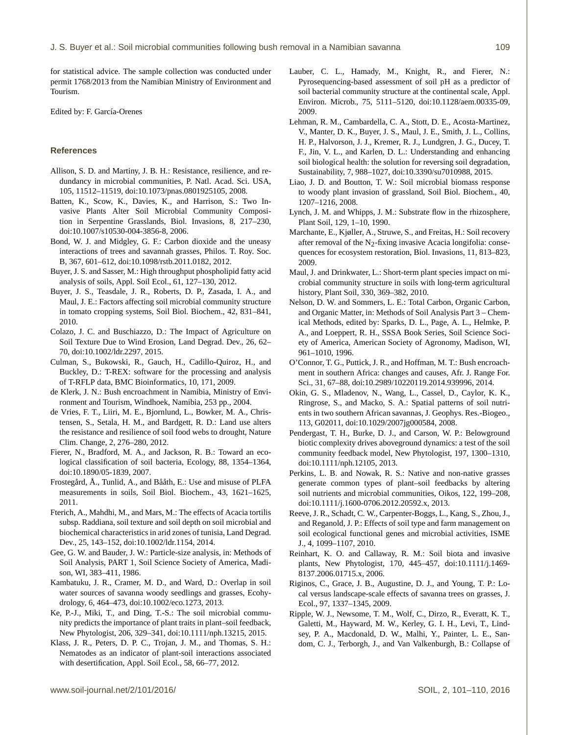for statistical advice. The sample collection was conducted under permit 1768/2013 from the Namibian Ministry of Environment and Tourism.

Edited by: F. García-Orenes

# **References**

- Allison, S. D. and Martiny, J. B. H.: Resistance, resilience, and redundancy in microbial communities, P. Natl. Acad. Sci. USA, 105, 11512–11519, doi[:10.1073/pnas.0801925105,](http://dx.doi.org/10.1073/pnas.0801925105) 2008.
- Batten, K., Scow, K., Davies, K., and Harrison, S.: Two Invasive Plants Alter Soil Microbial Community Composition in Serpentine Grasslands, Biol. Invasions, 8, 217–230, doi[:10.1007/s10530-004-3856-8,](http://dx.doi.org/10.1007/s10530-004-3856-8) 2006.
- Bond, W. J. and Midgley, G. F.: Carbon dioxide and the uneasy interactions of trees and savannah grasses, Philos. T. Roy. Soc. B, 367, 601–612, doi[:10.1098/rstb.2011.0182,](http://dx.doi.org/10.1098/rstb.2011.0182) 2012.
- Buyer, J. S. and Sasser, M.: High throughput phospholipid fatty acid analysis of soils, Appl. Soil Ecol., 61, 127–130, 2012.
- Buyer, J. S., Teasdale, J. R., Roberts, D. P., Zasada, I. A., and Maul, J. E.: Factors affecting soil microbial community structure in tomato cropping systems, Soil Biol. Biochem., 42, 831–841, 2010.
- Colazo, J. C. and Buschiazzo, D.: The Impact of Agriculture on Soil Texture Due to Wind Erosion, Land Degrad. Dev., 26, 62– 70, doi[:10.1002/ldr.2297,](http://dx.doi.org/10.1002/ldr.2297) 2015.
- Culman, S., Bukowski, R., Gauch, H., Cadillo-Quiroz, H., and Buckley, D.: T-REX: software for the processing and analysis of T-RFLP data, BMC Bioinformatics, 10, 171, 2009.
- de Klerk, J. N.: Bush encroachment in Namibia, Ministry of Environment and Tourism, Windhoek, Namibia, 253 pp., 2004.
- de Vries, F. T., Liiri, M. E., Bjornlund, L., Bowker, M. A., Christensen, S., Setala, H. M., and Bardgett, R. D.: Land use alters the resistance and resilience of soil food webs to drought, Nature Clim. Change, 2, 276–280, 2012.
- Fierer, N., Bradford, M. A., and Jackson, R. B.: Toward an ecological classification of soil bacteria, Ecology, 88, 1354–1364, doi[:10.1890/05-1839,](http://dx.doi.org/10.1890/05-1839) 2007.
- Frostegård, Å., Tunlid, A., and Bååth, E.: Use and misuse of PLFA measurements in soils, Soil Biol. Biochem., 43, 1621–1625, 2011.
- Fterich, A., Mahdhi, M., and Mars, M.: The effects of Acacia tortilis subsp. Raddiana, soil texture and soil depth on soil microbial and biochemical characteristics in arid zones of tunisia, Land Degrad. Dev., 25, 143–152, doi[:10.1002/ldr.1154,](http://dx.doi.org/10.1002/ldr.1154) 2014.
- Gee, G. W. and Bauder, J. W.: Particle-size analysis, in: Methods of Soil Analysis, PART 1, Soil Science Society of America, Madison, WI, 383–411, 1986.
- Kambatuku, J. R., Cramer, M. D., and Ward, D.: Overlap in soil water sources of savanna woody seedlings and grasses, Ecohydrology, 6, 464–473, doi[:10.1002/eco.1273,](http://dx.doi.org/10.1002/eco.1273) 2013.
- Ke, P.-J., Miki, T., and Ding, T.-S.: The soil microbial community predicts the importance of plant traits in plant–soil feedback, New Phytologist, 206, 329–341, doi[:10.1111/nph.13215,](http://dx.doi.org/10.1111/nph.13215) 2015.
- Klass, J. R., Peters, D. P. C., Trojan, J. M., and Thomas, S. H.: Nematodes as an indicator of plant-soil interactions associated with desertification, Appl. Soil Ecol., 58, 66–77, 2012.
- Lauber, C. L., Hamady, M., Knight, R., and Fierer, N.: Pyrosequencing-based assessment of soil pH as a predictor of soil bacterial community structure at the continental scale, Appl. Environ. Microb., 75, 5111–5120, doi[:10.1128/aem.00335-09,](http://dx.doi.org/10.1128/aem.00335-09) 2009.
- Lehman, R. M., Cambardella, C. A., Stott, D. E., Acosta-Martinez, V., Manter, D. K., Buyer, J. S., Maul, J. E., Smith, J. L., Collins, H. P., Halvorson, J. J., Kremer, R. J., Lundgren, J. G., Ducey, T. F., Jin, V. L., and Karlen, D. L.: Understanding and enhancing soil biological health: the solution for reversing soil degradation, Sustainability, 7, 988–1027, doi[:10.3390/su7010988,](http://dx.doi.org/10.3390/su7010988) 2015.
- Liao, J. D. and Boutton, T. W.: Soil microbial biomass response to woody plant invasion of grassland, Soil Biol. Biochem., 40, 1207–1216, 2008.
- Lynch, J. M. and Whipps, J. M.: Substrate flow in the rhizosphere, Plant Soil, 129, 1–10, 1990.
- Marchante, E., Kjøller, A., Struwe, S., and Freitas, H.: Soil recovery after removal of the  $N_2$ -fixing invasive Acacia longifolia: consequences for ecosystem restoration, Biol. Invasions, 11, 813–823, 2009.
- Maul, J. and Drinkwater, L.: Short-term plant species impact on microbial community structure in soils with long-term agricultural history, Plant Soil, 330, 369–382, 2010.
- Nelson, D. W. and Sommers, L. E.: Total Carbon, Organic Carbon, and Organic Matter, in: Methods of Soil Analysis Part 3 – Chemical Methods, edited by: Sparks, D. L., Page, A. L., Helmke, P. A., and Loeppert, R. H., SSSA Book Series, Soil Science Society of America, American Society of Agronomy, Madison, WI, 961–1010, 1996.
- O'Connor, T. G., Puttick, J. R., and Hoffman, M. T.: Bush encroachment in southern Africa: changes and causes, Afr. J. Range For. Sci., 31, 67–88, doi[:10.2989/10220119.2014.939996,](http://dx.doi.org/10.2989/10220119.2014.939996) 2014.
- Okin, G. S., Mladenov, N., Wang, L., Cassel, D., Caylor, K. K., Ringrose, S., and Macko, S. A.: Spatial patterns of soil nutrients in two southern African savannas, J. Geophys. Res.-Biogeo., 113, G02011, doi[:10.1029/2007jg000584,](http://dx.doi.org/10.1029/2007jg000584) 2008.
- Pendergast, T. H., Burke, D. J., and Carson, W. P.: Belowground biotic complexity drives aboveground dynamics: a test of the soil community feedback model, New Phytologist, 197, 1300–1310, doi[:10.1111/nph.12105,](http://dx.doi.org/10.1111/nph.12105) 2013.
- Perkins, L. B. and Nowak, R. S.: Native and non-native grasses generate common types of plant–soil feedbacks by altering soil nutrients and microbial communities, Oikos, 122, 199–208, doi[:10.1111/j.1600-0706.2012.20592.x,](http://dx.doi.org/10.1111/j.1600-0706.2012.20592.x) 2013.
- Reeve, J. R., Schadt, C. W., Carpenter-Boggs, L., Kang, S., Zhou, J., and Reganold, J. P.: Effects of soil type and farm management on soil ecological functional genes and microbial activities, ISME J., 4, 1099–1107, 2010.
- Reinhart, K. O. and Callaway, R. M.: Soil biota and invasive plants, New Phytologist, 170, 445–457, doi[:10.1111/j.1469-](http://dx.doi.org/10.1111/j.1469-8137.2006.01715.x) [8137.2006.01715.x,](http://dx.doi.org/10.1111/j.1469-8137.2006.01715.x) 2006.
- Riginos, C., Grace, J. B., Augustine, D. J., and Young, T. P.: Local versus landscape-scale effects of savanna trees on grasses, J. Ecol., 97, 1337–1345, 2009.
- Ripple, W. J., Newsome, T. M., Wolf, C., Dirzo, R., Everatt, K. T., Galetti, M., Hayward, M. W., Kerley, G. I. H., Levi, T., Lindsey, P. A., Macdonald, D. W., Malhi, Y., Painter, L. E., Sandom, C. J., Terborgh, J., and Van Valkenburgh, B.: Collapse of